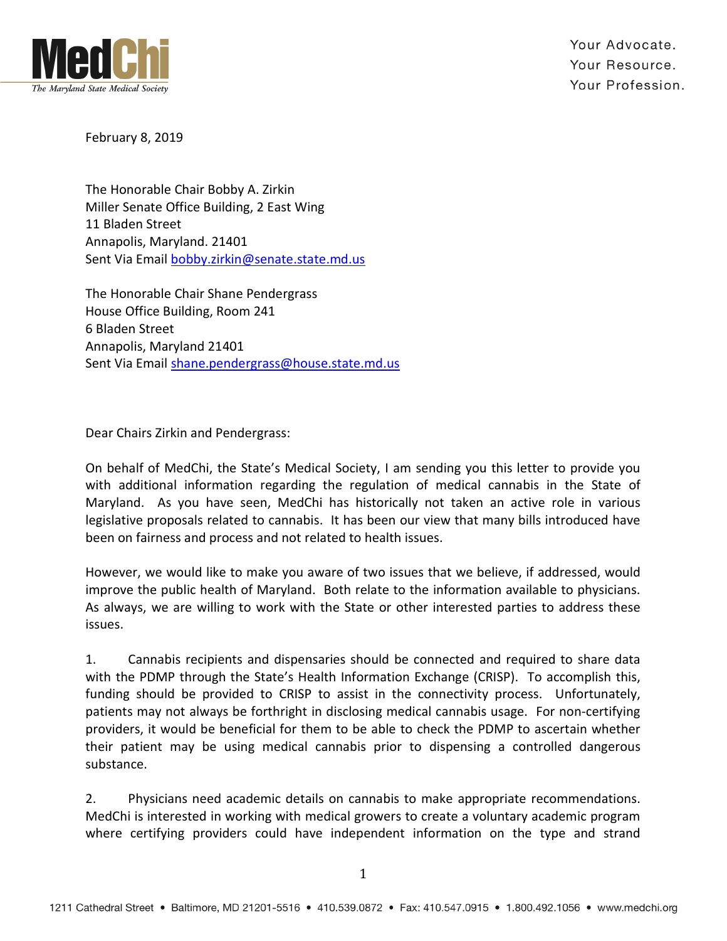

Your Advocate. Your Resource. Your Profession.

February 8, 2019

The Honorable Chair Bobby A. Zirkin Miller Senate Office Building, 2 East Wing 11 Bladen Street Annapolis, Maryland. 21401 Sent Via Email bobby.zirkin@senate.state.md.us

The Honorable Chair Shane Pendergrass House Office Building, Room 241 6 Bladen Street Annapolis, Maryland 21401 Sent Via Email shane.pendergrass@house.state.md.us

Dear Chairs Zirkin and Pendergrass:

On behalf of MedChi, the State's Medical Society, I am sending you this letter to provide you with additional information regarding the regulation of medical cannabis in the State of Maryland. As you have seen, MedChi has historically not taken an active role in various legislative proposals related to cannabis. It has been our view that many bills introduced have been on fairness and process and not related to health issues.

However, we would like to make you aware of two issues that we believe, if addressed, would improve the public health of Maryland. Both relate to the information available to physicians. As always, we are willing to work with the State or other interested parties to address these issues.

1. Cannabis recipients and dispensaries should be connected and required to share data with the PDMP through the State's Health Information Exchange (CRISP). To accomplish this, funding should be provided to CRISP to assist in the connectivity process. Unfortunately, patients may not always be forthright in disclosing medical cannabis usage. For non-certifying providers, it would be beneficial for them to be able to check the PDMP to ascertain whether their patient may be using medical cannabis prior to dispensing a controlled dangerous substance.

2. Physicians need academic details on cannabis to make appropriate recommendations. MedChi is interested in working with medical growers to create a voluntary academic program where certifying providers could have independent information on the type and strand